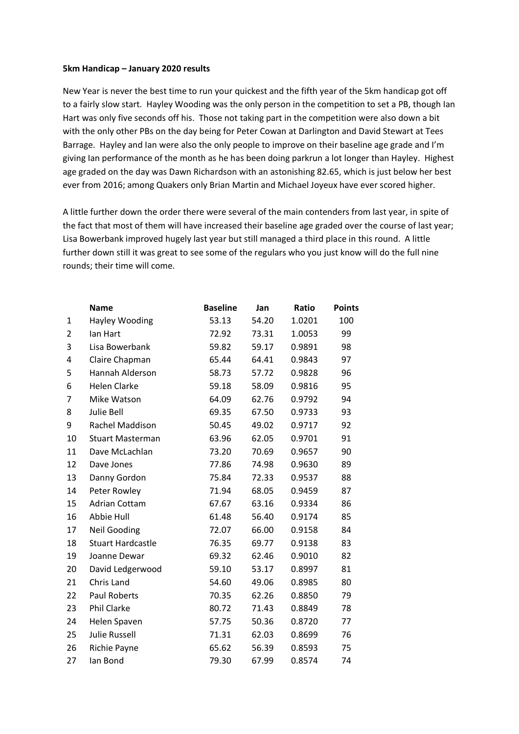## **5km Handicap – January 2020 results**

New Year is never the best time to run your quickest and the fifth year of the 5km handicap got off to a fairly slow start. Hayley Wooding was the only person in the competition to set a PB, though Ian Hart was only five seconds off his. Those not taking part in the competition were also down a bit with the only other PBs on the day being for Peter Cowan at Darlington and David Stewart at Tees Barrage. Hayley and Ian were also the only people to improve on their baseline age grade and I'm giving Ian performance of the month as he has been doing parkrun a lot longer than Hayley. Highest age graded on the day was Dawn Richardson with an astonishing 82.65, which is just below her best ever from 2016; among Quakers only Brian Martin and Michael Joyeux have ever scored higher.

A little further down the order there were several of the main contenders from last year, in spite of the fact that most of them will have increased their baseline age graded over the course of last year; Lisa Bowerbank improved hugely last year but still managed a third place in this round. A little further down still it was great to see some of the regulars who you just know will do the full nine rounds; their time will come.

|    | <b>Name</b>              | <b>Baseline</b> | Jan   | Ratio  | <b>Points</b> |
|----|--------------------------|-----------------|-------|--------|---------------|
| 1  | Hayley Wooding           | 53.13           | 54.20 | 1.0201 | 100           |
| 2  | lan Hart                 | 72.92           | 73.31 | 1.0053 | 99            |
| 3  | Lisa Bowerbank           | 59.82           | 59.17 | 0.9891 | 98            |
| 4  | Claire Chapman           | 65.44           | 64.41 | 0.9843 | 97            |
| 5  | Hannah Alderson          | 58.73           | 57.72 | 0.9828 | 96            |
| 6  | <b>Helen Clarke</b>      | 59.18           | 58.09 | 0.9816 | 95            |
| 7  | Mike Watson              | 64.09           | 62.76 | 0.9792 | 94            |
| 8  | Julie Bell               | 69.35           | 67.50 | 0.9733 | 93            |
| 9  | Rachel Maddison          | 50.45           | 49.02 | 0.9717 | 92            |
| 10 | <b>Stuart Masterman</b>  | 63.96           | 62.05 | 0.9701 | 91            |
| 11 | Dave McLachlan           | 73.20           | 70.69 | 0.9657 | 90            |
| 12 | Dave Jones               | 77.86           | 74.98 | 0.9630 | 89            |
| 13 | Danny Gordon             | 75.84           | 72.33 | 0.9537 | 88            |
| 14 | Peter Rowley             | 71.94           | 68.05 | 0.9459 | 87            |
| 15 | <b>Adrian Cottam</b>     | 67.67           | 63.16 | 0.9334 | 86            |
| 16 | Abbie Hull               | 61.48           | 56.40 | 0.9174 | 85            |
| 17 | <b>Neil Gooding</b>      | 72.07           | 66.00 | 0.9158 | 84            |
| 18 | <b>Stuart Hardcastle</b> | 76.35           | 69.77 | 0.9138 | 83            |
| 19 | Joanne Dewar             | 69.32           | 62.46 | 0.9010 | 82            |
| 20 | David Ledgerwood         | 59.10           | 53.17 | 0.8997 | 81            |
| 21 | Chris Land               | 54.60           | 49.06 | 0.8985 | 80            |
| 22 | <b>Paul Roberts</b>      | 70.35           | 62.26 | 0.8850 | 79            |
| 23 | <b>Phil Clarke</b>       | 80.72           | 71.43 | 0.8849 | 78            |
| 24 | Helen Spaven             | 57.75           | 50.36 | 0.8720 | 77            |
| 25 | <b>Julie Russell</b>     | 71.31           | 62.03 | 0.8699 | 76            |
| 26 | Richie Payne             | 65.62           | 56.39 | 0.8593 | 75            |
| 27 | Ian Bond                 | 79.30           | 67.99 | 0.8574 | 74            |